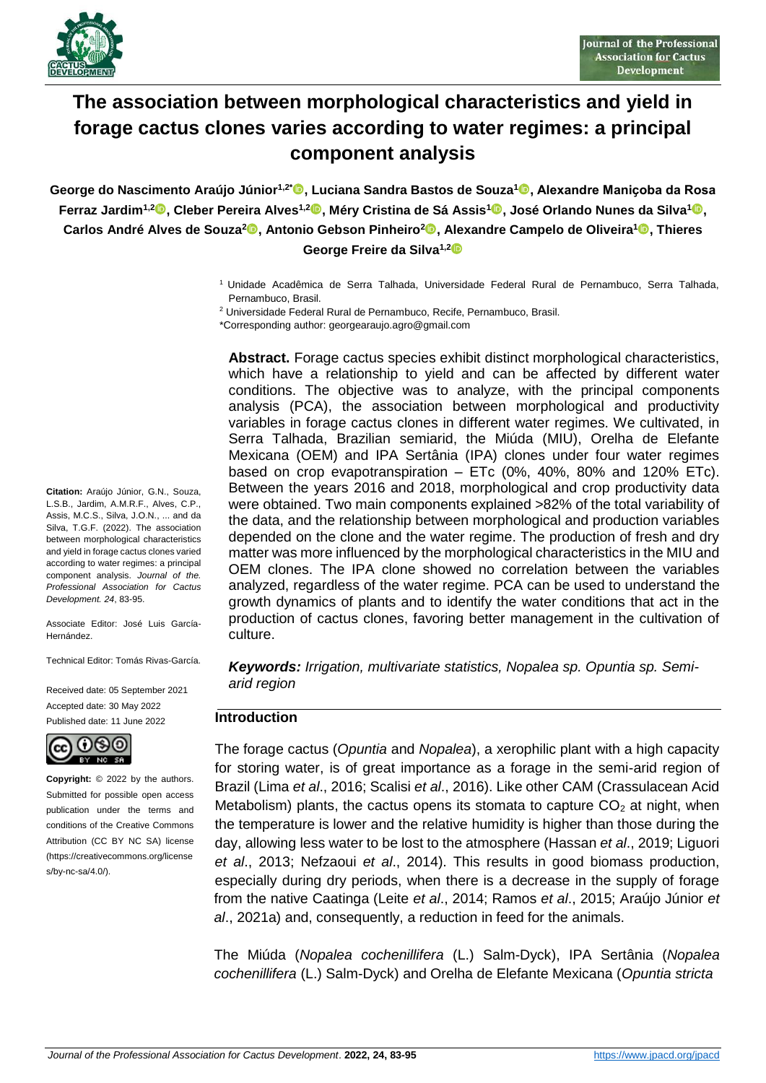

# **The association between morphological characteristics and yield in forage cactus clones varies according to water regimes: a principal component analysis**

**George do Nascimento Araújo Júnior1,2\* , Luciana Sandra Bastos de Souza[1](https://orcid.org/0000-0001-8870-0295) , Alexandre Maniҫoba da Rosa Ferraz Jardim1,[2](https://orcid.org/00000-0001-7094-3635) , Cleber Pereira Alves1,[2](https://orcid.org/0000-0002-8796-6945) , Méry Cristina de Sá Assis<sup>1</sup> , José Orlando Nunes da Silva<sup>1</sup> ,**   $\bf{C}$ arlos André Alves de Souza $^2\bullet$ , Antonio Gebson Pinheiro $^2\bullet$ , Alexandre Campelo de Oliveira $^1\bullet$ , Thieres **George Freire da Silva1,2**

> <sup>1</sup> Unidade Acadêmica de Serra Talhada, Universidade Federal Rural de Pernambuco, Serra Talhada, Pernambuco, Brasil.

<sup>2</sup> Universidade Federal Rural de Pernambuco, Recife, Pernambuco, Brasil.

\*Corresponding author: georgearaujo.agro@gmail.com

**Abstract.** Forage cactus species exhibit distinct morphological characteristics, which have a relationship to yield and can be affected by different water conditions. The objective was to analyze, with the principal components analysis (PCA), the association between morphological and productivity variables in forage cactus clones in different water regimes. We cultivated, in Serra Talhada, Brazilian semiarid, the Miúda (MIU), Orelha de Elefante Mexicana (OEM) and IPA Sertânia (IPA) clones under four water regimes based on crop evapotranspiration – ETc (0%, 40%, 80% and 120% ETc). Between the years 2016 and 2018, morphological and crop productivity data were obtained. Two main components explained >82% of the total variability of the data, and the relationship between morphological and production variables depended on the clone and the water regime. The production of fresh and dry matter was more influenced by the morphological characteristics in the MIU and OEM clones. The IPA clone showed no correlation between the variables analyzed, regardless of the water regime. PCA can be used to understand the growth dynamics of plants and to identify the water conditions that act in the production of cactus clones, favoring better management in the cultivation of culture.

*Keywords: Irrigation, multivariate statistics, Nopalea sp. Opuntia sp. Semiarid region*

#### **Introduction**

The forage cactus (*Opuntia* and *Nopalea*), a xerophilic plant with a high capacity for storing water, is of great importance as a forage in the semi-arid region of Brazil (Lima *et al*., 2016; Scalisi *et al*., 2016). Like other CAM (Crassulacean Acid Metabolism) plants, the cactus opens its stomata to capture  $CO<sub>2</sub>$  at night, when the temperature is lower and the relative humidity is higher than those during the day, allowing less water to be lost to the atmosphere (Hassan *et al*., 2019; Liguori *et al*., 2013; Nefzaoui *et al*., 2014). This results in good biomass production, especially during dry periods, when there is a decrease in the supply of forage from the native Caatinga (Leite *et al*., 2014; Ramos *et al*., 2015; Araújo Júnior *et al*., 2021a) and, consequently, a reduction in feed for the animals.

The Miúda (*Nopalea cochenillifera* (L.) Salm-Dyck), IPA Sertânia (*Nopalea cochenillifera* (L.) Salm-Dyck) and Orelha de Elefante Mexicana (*Opuntia stricta*

**Citation:** Araújo Júnior, G.N., Souza, L.S.B., Jardim, A.M.R.F., Alves, C.P., Assis, M.C.S., Silva, J.O.N., ... and da Silva, T.G.F. (2022). The association between morphological characteristics and yield in forage cactus clones varied according to water regimes: a principal component analysis. *Journal of the. Professional Association for Cactus Development. 24*, 83-95.

Associate Editor: José Luis García-Hernández.

Technical Editor: Tomás Rivas-García.

Received date: 05 September 2021 Accepted date: 30 May 2022 Published date: 11 June 2022



**Copyright:** © 2022 by the authors. Submitted for possible open access publication under the terms and conditions of the Creative Commons Attribution (CC BY NC SA) license (https://creativecommons.org/license  $s/bv-nc-sa/4.0$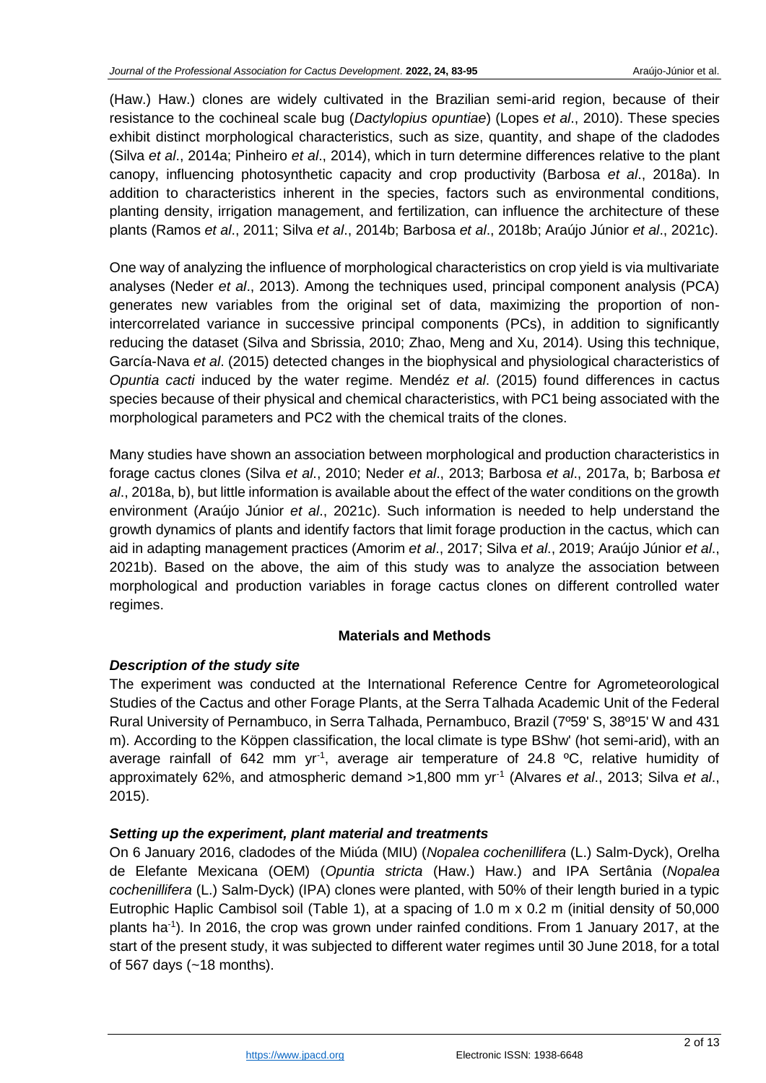(Haw.) Haw.) clones are widely cultivated in the Brazilian semi-arid region, because of their resistance to the cochineal scale bug (*Dactylopius opuntiae*) (Lopes *et al*., 2010). These species exhibit distinct morphological characteristics, such as size, quantity, and shape of the cladodes (Silva *et al*., 2014a; Pinheiro *et al*., 2014), which in turn determine differences relative to the plant canopy, influencing photosynthetic capacity and crop productivity (Barbosa *et al*., 2018a). In addition to characteristics inherent in the species, factors such as environmental conditions, planting density, irrigation management, and fertilization, can influence the architecture of these plants (Ramos *et al*., 2011; Silva *et al*., 2014b; Barbosa *et al*., 2018b; Araújo Júnior *et al*., 2021c).

One way of analyzing the influence of morphological characteristics on crop yield is via multivariate analyses (Neder *et al*., 2013). Among the techniques used, principal component analysis (PCA) generates new variables from the original set of data, maximizing the proportion of nonintercorrelated variance in successive principal components (PCs), in addition to significantly reducing the dataset (Silva and Sbrissia, 2010; Zhao, Meng and Xu, 2014). Using this technique, García-Nava *et al*. (2015) detected changes in the biophysical and physiological characteristics of *Opuntia cacti* induced by the water regime. Mendéz *et al*. (2015) found differences in cactus species because of their physical and chemical characteristics, with PC1 being associated with the morphological parameters and PC2 with the chemical traits of the clones.

Many studies have shown an association between morphological and production characteristics in forage cactus clones (Silva *et al*., 2010; Neder *et al*., 2013; Barbosa *et al*., 2017a, b; Barbosa *et al*., 2018a, b), but little information is available about the effect of the water conditions on the growth environment (Araújo Júnior *et al*., 2021c). Such information is needed to help understand the growth dynamics of plants and identify factors that limit forage production in the cactus, which can aid in adapting management practices (Amorim *et al*., 2017; Silva *et al*., 2019; Araújo Júnior *et al*., 2021b). Based on the above, the aim of this study was to analyze the association between morphological and production variables in forage cactus clones on different controlled water regimes.

## **Materials and Methods**

# *Description of the study site*

The experiment was conducted at the International Reference Centre for Agrometeorological Studies of the Cactus and other Forage Plants, at the Serra Talhada Academic Unit of the Federal Rural University of Pernambuco, in Serra Talhada, Pernambuco, Brazil (7º59' S, 38º15' W and 431 m). According to the Köppen classification, the local climate is type BShw' (hot semi-arid), with an average rainfall of 642 mm yr<sup>-1</sup>, average air temperature of 24.8  $^{\circ}$ C, relative humidity of approximately 62%, and atmospheric demand >1,800 mm yr-1 (Alvares *et al*., 2013; Silva *et al*., 2015).

## *Setting up the experiment, plant material and treatments*

On 6 January 2016, cladodes of the Miúda (MIU) (*Nopalea cochenillifera* (L.) Salm-Dyck), Orelha de Elefante Mexicana (OEM) (*Opuntia stricta* (Haw.) Haw.) and IPA Sertânia (*Nopalea cochenillifera* (L.) Salm-Dyck) (IPA) clones were planted, with 50% of their length buried in a typic Eutrophic Haplic Cambisol soil (Table 1), at a spacing of 1.0 m x 0.2 m (initial density of 50,000 plants ha<sup>-1</sup>). In 2016, the crop was grown under rainfed conditions. From 1 January 2017, at the start of the present study, it was subjected to different water regimes until 30 June 2018, for a total of 567 days (~18 months).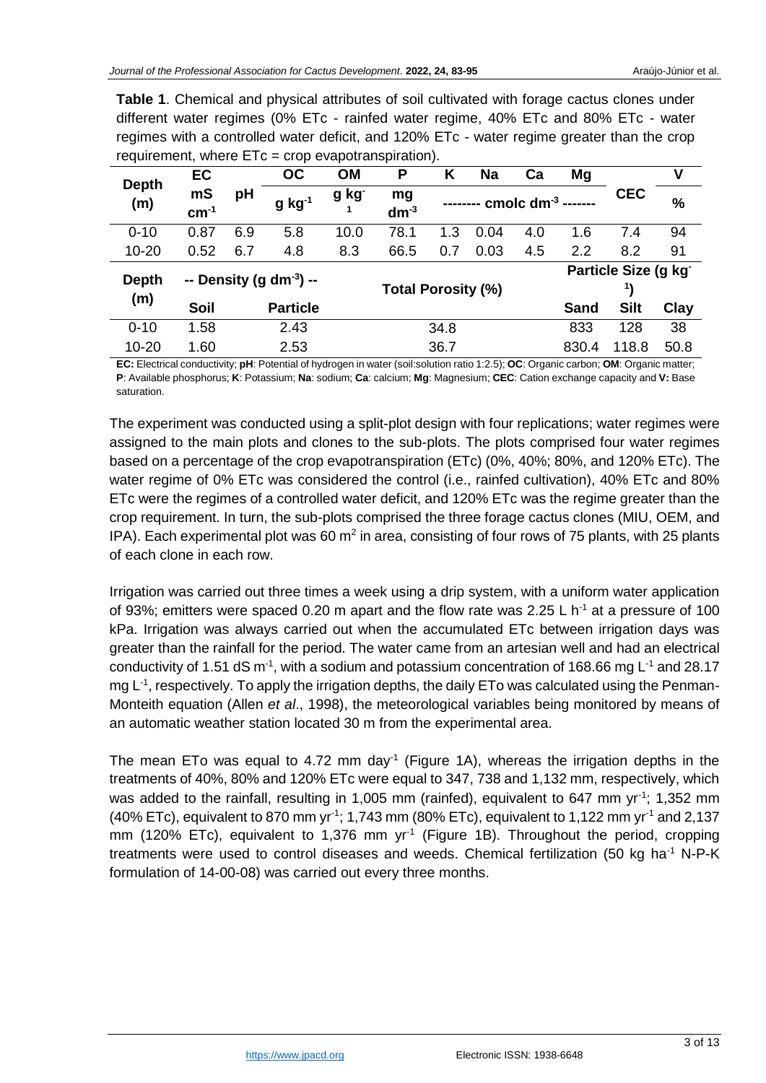| requirement, where $E$ i $C = C$ crop evaporranspiration). |                              |     |                 |           |                           |     |           |                 |                     |             |      |  |
|------------------------------------------------------------|------------------------------|-----|-----------------|-----------|---------------------------|-----|-----------|-----------------|---------------------|-------------|------|--|
| <b>Depth</b><br>(m)                                        | EC                           |     | <b>OC</b>       | <b>OM</b> | Р                         | Κ   | <b>Na</b> | Ca              | Mg                  |             | ٧    |  |
|                                                            | mS<br>$cm-1$                 | рH  | $g$ kg $^{-1}$  | g kg      | mg<br>$dm-3$              |     |           | cmolc $dm^{-3}$ |                     | <b>CEC</b>  | %    |  |
| $0 - 10$                                                   | 0.87                         | 6.9 | 5.8             | 10.0      | 78.1                      | 1.3 | 0.04      | 4.0             | 1.6                 | 7.4         | 94   |  |
| $10 - 20$                                                  | 0.52                         | 6.7 | 4.8             | 8.3       | 66.5                      | 0.7 | 0.03      | 4.5             | 2.2                 | 8.2         | 91   |  |
| <b>Depth</b><br>(m)                                        | -- Density (g $dm^{-3}$ ) -- |     |                 |           | <b>Total Porosity (%)</b> |     |           |                 | Particle Size (g kg |             |      |  |
|                                                            |                              |     |                 |           |                           |     |           |                 |                     |             |      |  |
|                                                            | Soil                         |     | <b>Particle</b> |           |                           |     |           |                 | <b>Sand</b>         | <b>Silt</b> | Clay |  |
| $0 - 10$                                                   | 1.58                         |     | 2.43            | 34.8      |                           |     |           |                 | 833                 | 128         | 38   |  |
| $10 - 20$                                                  | 1.60                         |     | 2.53            | 36.7      |                           |     |           |                 | 830.4               | 118.8       | 50.8 |  |

**Table 1**. Chemical and physical attributes of soil cultivated with forage cactus clones under different water regimes (0% ETc - rainfed water regime, 40% ETc and 80% ETc - water regimes with a controlled water deficit, and 120% ETc - water regime greater than the crop requirement, where ETc = crop evapotranspiration).

**EC:** Electrical conductivity; **pH**: Potential of hydrogen in water (soil:solution ratio 1:2.5); **OC**: Organic carbon; **OM**: Organic matter; **P**: Available phosphorus; **K**: Potassium; **Na**: sodium; **Ca**: calcium; **Mg**: Magnesium; **CEC**: Cation exchange capacity and **V:** Base saturation.

The experiment was conducted using a split-plot design with four replications; water regimes were assigned to the main plots and clones to the sub-plots. The plots comprised four water regimes based on a percentage of the crop evapotranspiration (ETc) (0%, 40%; 80%, and 120% ETc). The water regime of 0% ETc was considered the control (i.e., rainfed cultivation), 40% ETc and 80% ETc were the regimes of a controlled water deficit, and 120% ETc was the regime greater than the crop requirement. In turn, the sub-plots comprised the three forage cactus clones (MIU, OEM, and IPA). Each experimental plot was 60  $m^2$  in area, consisting of four rows of 75 plants, with 25 plants of each clone in each row.

Irrigation was carried out three times a week using a drip system, with a uniform water application of 93%; emitters were spaced 0.20 m apart and the flow rate was 2.25 L  $h^{-1}$  at a pressure of 100 kPa. Irrigation was always carried out when the accumulated ETc between irrigation days was greater than the rainfall for the period. The water came from an artesian well and had an electrical conductivity of 1.51 dS  $m<sup>-1</sup>$ , with a sodium and potassium concentration of 168.66 mg L<sup>-1</sup> and 28.17 mg L<sup>-1</sup>, respectively. To apply the irrigation depths, the daily ETo was calculated using the Penman-Monteith equation (Allen *et al*., 1998), the meteorological variables being monitored by means of an automatic weather station located 30 m from the experimental area.

The mean ETo was equal to 4.72 mm day<sup>-1</sup> (Figure 1A), whereas the irrigation depths in the treatments of 40%, 80% and 120% ETc were equal to 347, 738 and 1,132 mm, respectively, which was added to the rainfall, resulting in 1,005 mm (rainfed), equivalent to 647 mm yr<sup>-1</sup>; 1,352 mm (40% ETc), equivalent to 870 mm yr<sup>-1</sup>; 1,743 mm (80% ETc), equivalent to 1,122 mm yr<sup>-1</sup> and 2,137 mm (120% ETc), equivalent to 1,376 mm  $yr<sup>-1</sup>$  (Figure 1B). Throughout the period, cropping treatments were used to control diseases and weeds. Chemical fertilization (50 kg ha<sup>-1</sup> N-P-K formulation of 14-00-08) was carried out every three months.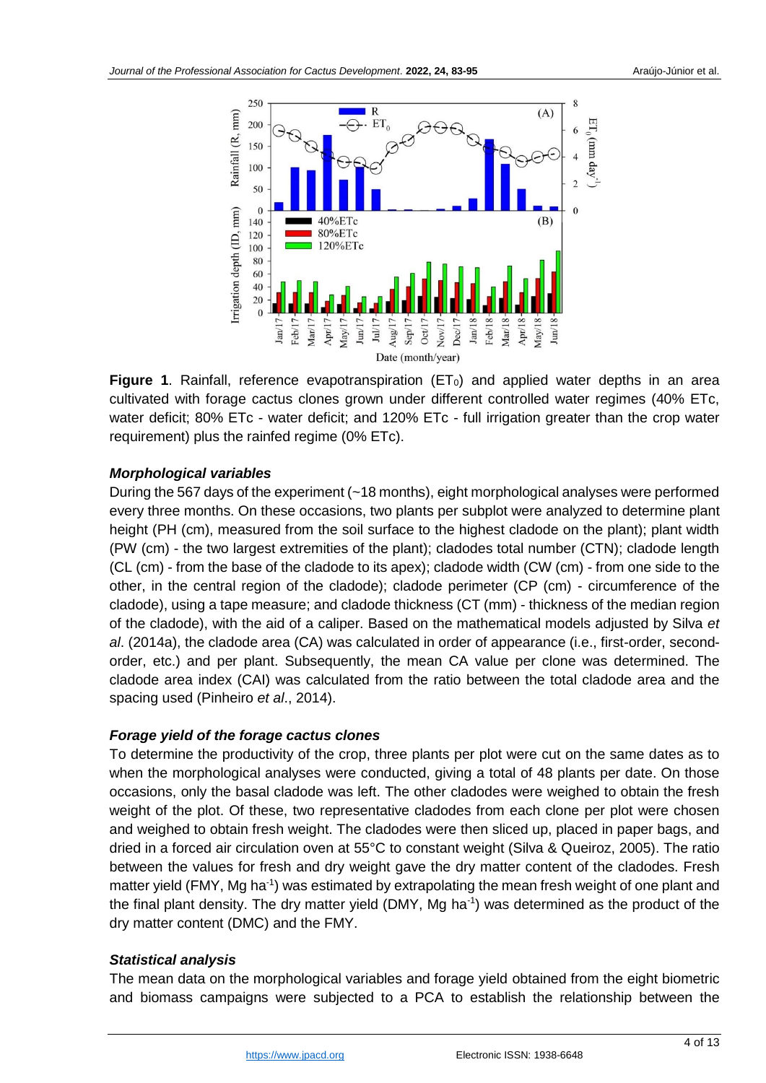

**Figure 1.** Rainfall, reference evapotranspiration  $(ET<sub>0</sub>)$  and applied water depths in an area cultivated with forage cactus clones grown under different controlled water regimes (40% ETc, water deficit; 80% ETc - water deficit; and 120% ETc - full irrigation greater than the crop water requirement) plus the rainfed regime (0% ETc).

## *Morphological variables*

During the 567 days of the experiment (~18 months), eight morphological analyses were performed every three months. On these occasions, two plants per subplot were analyzed to determine plant height (PH (cm), measured from the soil surface to the highest cladode on the plant); plant width (PW (cm) - the two largest extremities of the plant); cladodes total number (CTN); cladode length (CL (cm) - from the base of the cladode to its apex); cladode width (CW (cm) - from one side to the other, in the central region of the cladode); cladode perimeter (CP (cm) - circumference of the cladode), using a tape measure; and cladode thickness (CT (mm) - thickness of the median region of the cladode), with the aid of a caliper. Based on the mathematical models adjusted by Silva *et al*. (2014a), the cladode area (CA) was calculated in order of appearance (i.e., first-order, secondorder, etc.) and per plant. Subsequently, the mean CA value per clone was determined. The cladode area index (CAI) was calculated from the ratio between the total cladode area and the spacing used (Pinheiro *et al*., 2014).

# *Forage yield of the forage cactus clones*

To determine the productivity of the crop, three plants per plot were cut on the same dates as to when the morphological analyses were conducted, giving a total of 48 plants per date. On those occasions, only the basal cladode was left. The other cladodes were weighed to obtain the fresh weight of the plot. Of these, two representative cladodes from each clone per plot were chosen and weighed to obtain fresh weight. The cladodes were then sliced up, placed in paper bags, and dried in a forced air circulation oven at 55°C to constant weight (Silva & Queiroz, 2005). The ratio between the values for fresh and dry weight gave the dry matter content of the cladodes. Fresh matter yield (FMY, Mg ha<sup>-1</sup>) was estimated by extrapolating the mean fresh weight of one plant and the final plant density. The dry matter yield (DMY, Mg ha<sup>-1</sup>) was determined as the product of the dry matter content (DMC) and the FMY.

## *Statistical analysis*

The mean data on the morphological variables and forage yield obtained from the eight biometric and biomass campaigns were subjected to a PCA to establish the relationship between the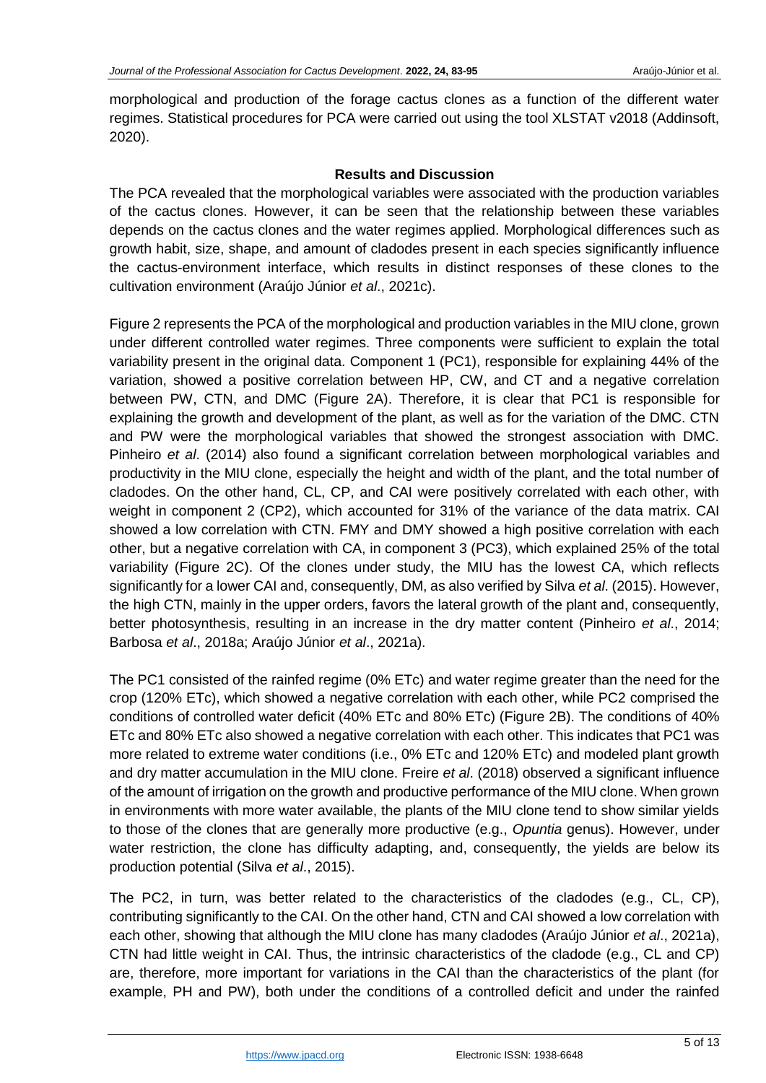morphological and production of the forage cactus clones as a function of the different water regimes. Statistical procedures for PCA were carried out using the tool XLSTAT v2018 (Addinsoft, 2020).

## **Results and Discussion**

The PCA revealed that the morphological variables were associated with the production variables of the cactus clones. However, it can be seen that the relationship between these variables depends on the cactus clones and the water regimes applied. Morphological differences such as growth habit, size, shape, and amount of cladodes present in each species significantly influence the cactus-environment interface, which results in distinct responses of these clones to the cultivation environment (Araújo Júnior *et al*., 2021c).

Figure 2 represents the PCA of the morphological and production variables in the MIU clone, grown under different controlled water regimes. Three components were sufficient to explain the total variability present in the original data. Component 1 (PC1), responsible for explaining 44% of the variation, showed a positive correlation between HP, CW, and CT and a negative correlation between PW, CTN, and DMC (Figure 2A). Therefore, it is clear that PC1 is responsible for explaining the growth and development of the plant, as well as for the variation of the DMC. CTN and PW were the morphological variables that showed the strongest association with DMC. Pinheiro *et al*. (2014) also found a significant correlation between morphological variables and productivity in the MIU clone, especially the height and width of the plant, and the total number of cladodes. On the other hand, CL, CP, and CAI were positively correlated with each other, with weight in component 2 (CP2), which accounted for 31% of the variance of the data matrix. CAI showed a low correlation with CTN. FMY and DMY showed a high positive correlation with each other, but a negative correlation with CA, in component 3 (PC3), which explained 25% of the total variability (Figure 2C). Of the clones under study, the MIU has the lowest CA, which reflects significantly for a lower CAI and, consequently, DM, as also verified by Silva *et al*. (2015). However, the high CTN, mainly in the upper orders, favors the lateral growth of the plant and, consequently, better photosynthesis, resulting in an increase in the dry matter content (Pinheiro *et al*., 2014; Barbosa *et al*., 2018a; Araújo Júnior *et al*., 2021a).

The PC1 consisted of the rainfed regime (0% ETc) and water regime greater than the need for the crop (120% ETc), which showed a negative correlation with each other, while PC2 comprised the conditions of controlled water deficit (40% ETc and 80% ETc) (Figure 2B). The conditions of 40% ETc and 80% ETc also showed a negative correlation with each other. This indicates that PC1 was more related to extreme water conditions (i.e., 0% ETc and 120% ETc) and modeled plant growth and dry matter accumulation in the MIU clone. Freire *et al*. (2018) observed a significant influence of the amount of irrigation on the growth and productive performance of the MIU clone. When grown in environments with more water available, the plants of the MIU clone tend to show similar yields to those of the clones that are generally more productive (e.g., *Opuntia* genus). However, under water restriction, the clone has difficulty adapting, and, consequently, the yields are below its production potential (Silva *et al*., 2015).

The PC2, in turn, was better related to the characteristics of the cladodes (e.g., CL, CP), contributing significantly to the CAI. On the other hand, CTN and CAI showed a low correlation with each other, showing that although the MIU clone has many cladodes (Araújo Júnior *et al*., 2021a), CTN had little weight in CAI. Thus, the intrinsic characteristics of the cladode (e.g., CL and CP) are, therefore, more important for variations in the CAI than the characteristics of the plant (for example, PH and PW), both under the conditions of a controlled deficit and under the rainfed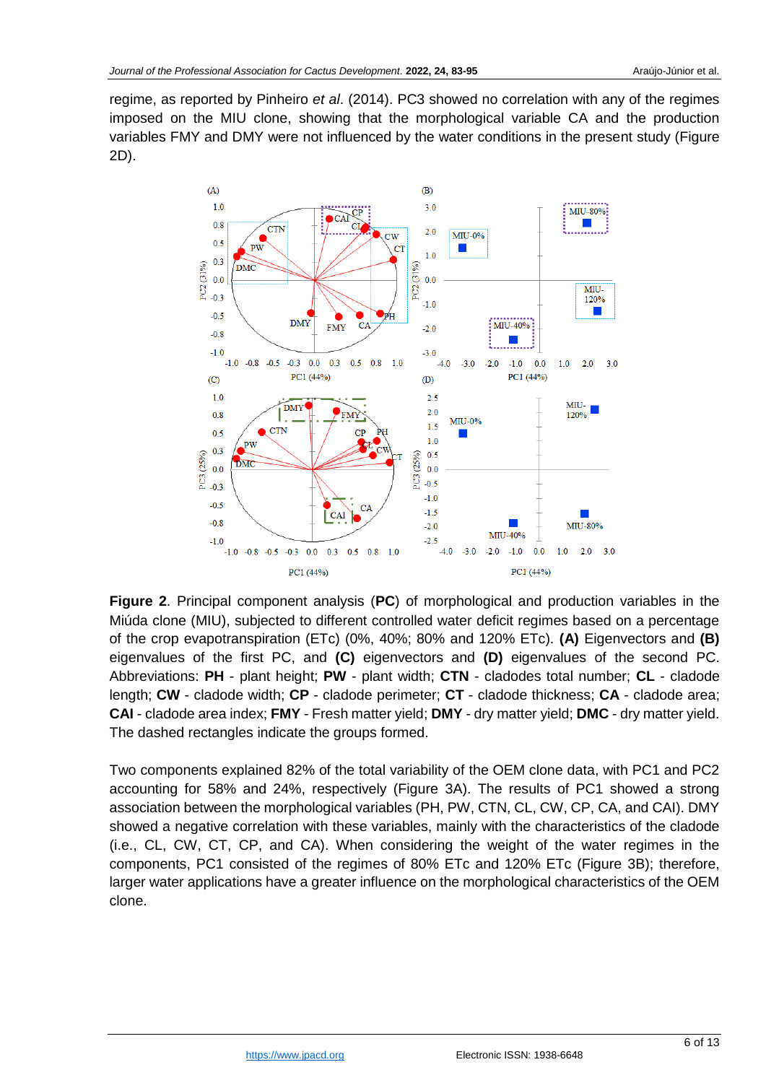regime, as reported by Pinheiro *et al*. (2014). PC3 showed no correlation with any of the regimes imposed on the MIU clone, showing that the morphological variable CA and the production variables FMY and DMY were not influenced by the water conditions in the present study (Figure 2D).



**Figure 2**. Principal component analysis (**PC**) of morphological and production variables in the Miúda clone (MIU), subjected to different controlled water deficit regimes based on a percentage of the crop evapotranspiration (ETc) (0%, 40%; 80% and 120% ETc). **(A)** Eigenvectors and **(B)** eigenvalues of the first PC, and **(C)** eigenvectors and **(D)** eigenvalues of the second PC. Abbreviations: **PH** - plant height; **PW** - plant width; **CTN** - cladodes total number; **CL** - cladode length; **CW** - cladode width; **CP** - cladode perimeter; **CT** - cladode thickness; **CA** - cladode area; **CAI** - cladode area index; **FMY** - Fresh matter yield; **DMY** - dry matter yield; **DMC** - dry matter yield. The dashed rectangles indicate the groups formed.

Two components explained 82% of the total variability of the OEM clone data, with PC1 and PC2 accounting for 58% and 24%, respectively (Figure 3A). The results of PC1 showed a strong association between the morphological variables (PH, PW, CTN, CL, CW, CP, CA, and CAI). DMY showed a negative correlation with these variables, mainly with the characteristics of the cladode (i.e., CL, CW, CT, CP, and CA). When considering the weight of the water regimes in the components, PC1 consisted of the regimes of 80% ETc and 120% ETc (Figure 3B); therefore, larger water applications have a greater influence on the morphological characteristics of the OEM clone.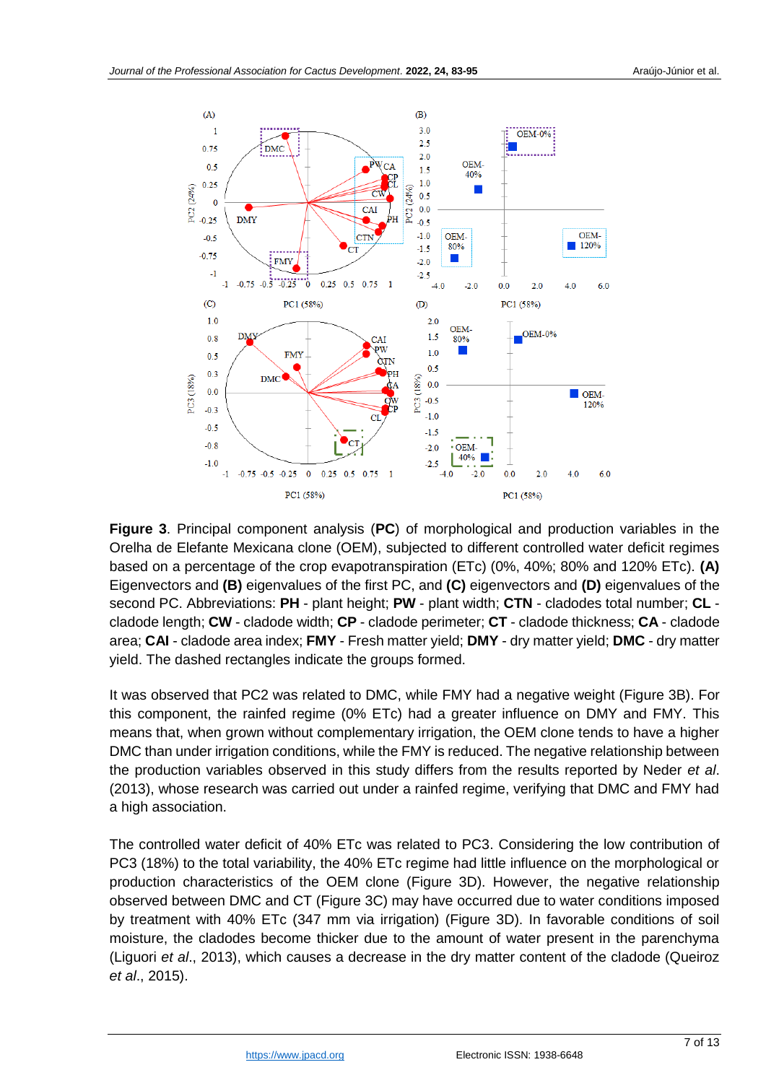

**Figure 3**. Principal component analysis (**PC**) of morphological and production variables in the Orelha de Elefante Mexicana clone (OEM), subjected to different controlled water deficit regimes based on a percentage of the crop evapotranspiration (ETc) (0%, 40%; 80% and 120% ETc). **(A)** Eigenvectors and **(B)** eigenvalues of the first PC, and **(C)** eigenvectors and **(D)** eigenvalues of the second PC. Abbreviations: **PH** - plant height; **PW** - plant width; **CTN** - cladodes total number; **CL** cladode length; **CW** - cladode width; **CP** - cladode perimeter; **CT** - cladode thickness; **CA** - cladode area; **CAI** - cladode area index; **FMY** - Fresh matter yield; **DMY** - dry matter yield; **DMC** - dry matter yield. The dashed rectangles indicate the groups formed.

It was observed that PC2 was related to DMC, while FMY had a negative weight (Figure 3B). For this component, the rainfed regime (0% ETc) had a greater influence on DMY and FMY. This means that, when grown without complementary irrigation, the OEM clone tends to have a higher DMC than under irrigation conditions, while the FMY is reduced. The negative relationship between the production variables observed in this study differs from the results reported by Neder *et al*. (2013), whose research was carried out under a rainfed regime, verifying that DMC and FMY had a high association.

The controlled water deficit of 40% ETc was related to PC3. Considering the low contribution of PC3 (18%) to the total variability, the 40% ETc regime had little influence on the morphological or production characteristics of the OEM clone (Figure 3D). However, the negative relationship observed between DMC and CT (Figure 3C) may have occurred due to water conditions imposed by treatment with 40% ETc (347 mm via irrigation) (Figure 3D). In favorable conditions of soil moisture, the cladodes become thicker due to the amount of water present in the parenchyma (Liguori *et al*., 2013), which causes a decrease in the dry matter content of the cladode (Queiroz *et al*., 2015).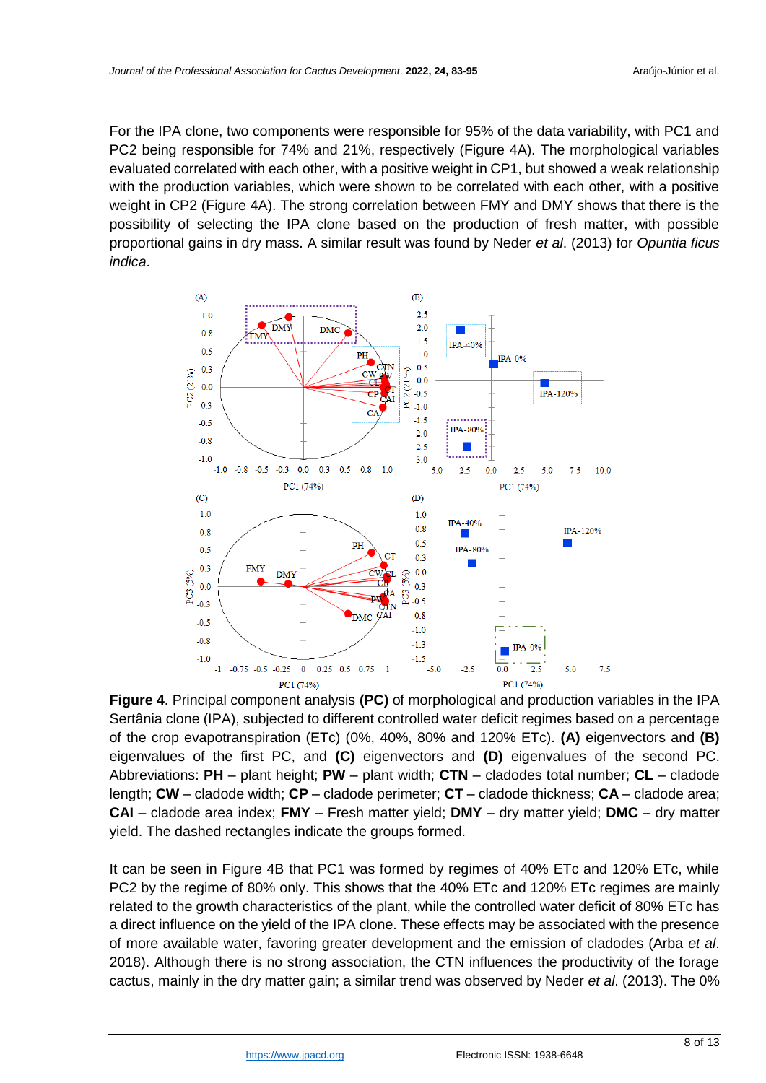For the IPA clone, two components were responsible for 95% of the data variability, with PC1 and PC2 being responsible for 74% and 21%, respectively (Figure 4A). The morphological variables evaluated correlated with each other, with a positive weight in CP1, but showed a weak relationship with the production variables, which were shown to be correlated with each other, with a positive weight in CP2 (Figure 4A). The strong correlation between FMY and DMY shows that there is the possibility of selecting the IPA clone based on the production of fresh matter, with possible proportional gains in dry mass. A similar result was found by Neder *et al*. (2013) for *Opuntia ficus indica*.



**Figure 4**. Principal component analysis **(PC)** of morphological and production variables in the IPA Sertânia clone (IPA), subjected to different controlled water deficit regimes based on a percentage of the crop evapotranspiration (ETc) (0%, 40%, 80% and 120% ETc). **(A)** eigenvectors and **(B)** eigenvalues of the first PC, and **(C)** eigenvectors and **(D)** eigenvalues of the second PC. Abbreviations: **PH** – plant height; **PW** – plant width; **CTN** – cladodes total number; **CL** – cladode length; **CW** – cladode width; **CP** – cladode perimeter; **CT** – cladode thickness; **CA** – cladode area; **CAI** – cladode area index; **FMY** – Fresh matter yield; **DMY** – dry matter yield; **DMC** – dry matter yield. The dashed rectangles indicate the groups formed.

It can be seen in Figure 4B that PC1 was formed by regimes of 40% ETc and 120% ETc, while PC2 by the regime of 80% only. This shows that the 40% ETc and 120% ETc regimes are mainly related to the growth characteristics of the plant, while the controlled water deficit of 80% ETc has a direct influence on the yield of the IPA clone. These effects may be associated with the presence of more available water, favoring greater development and the emission of cladodes (Arba *et al*. 2018). Although there is no strong association, the CTN influences the productivity of the forage cactus, mainly in the dry matter gain; a similar trend was observed by Neder *et al*. (2013). The 0%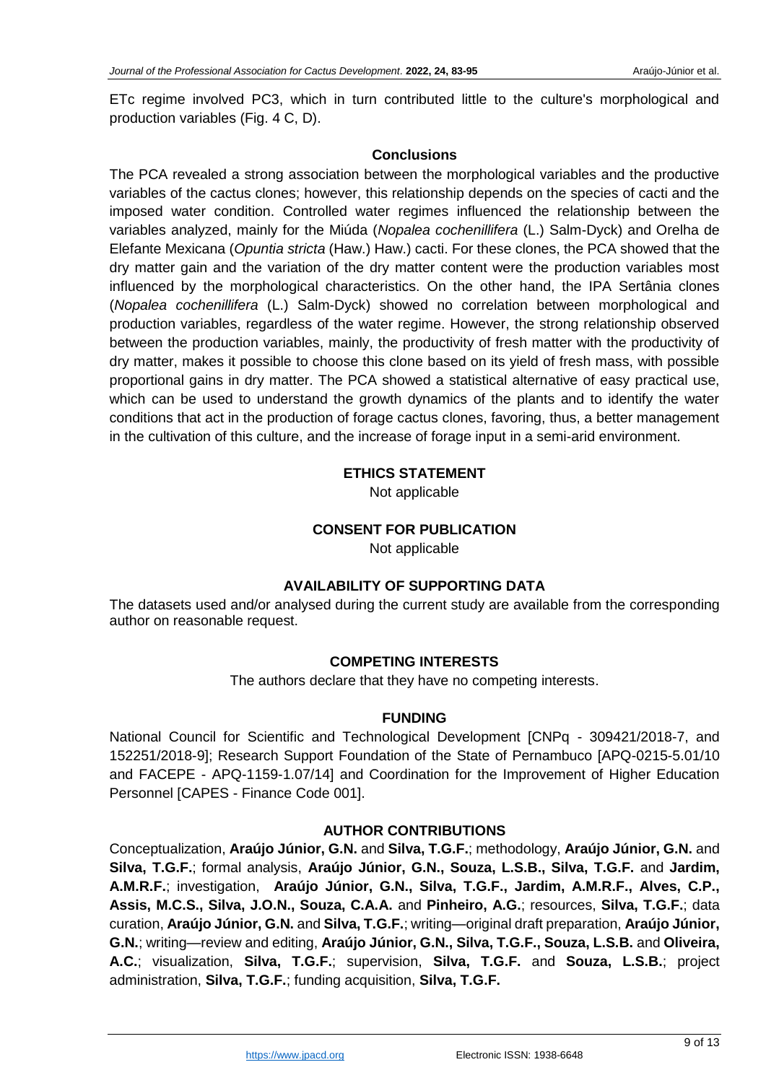ETc regime involved PC3, which in turn contributed little to the culture's morphological and production variables (Fig. 4 C, D).

## **Conclusions**

The PCA revealed a strong association between the morphological variables and the productive variables of the cactus clones; however, this relationship depends on the species of cacti and the imposed water condition. Controlled water regimes influenced the relationship between the variables analyzed, mainly for the Miúda (*Nopalea cochenillifera* (L.) Salm-Dyck) and Orelha de Elefante Mexicana (*Opuntia stricta* (Haw.) Haw.) cacti. For these clones, the PCA showed that the dry matter gain and the variation of the dry matter content were the production variables most influenced by the morphological characteristics. On the other hand, the IPA Sertânia clones (*Nopalea cochenillifera* (L.) Salm-Dyck) showed no correlation between morphological and production variables, regardless of the water regime. However, the strong relationship observed between the production variables, mainly, the productivity of fresh matter with the productivity of dry matter, makes it possible to choose this clone based on its yield of fresh mass, with possible proportional gains in dry matter. The PCA showed a statistical alternative of easy practical use, which can be used to understand the growth dynamics of the plants and to identify the water conditions that act in the production of forage cactus clones, favoring, thus, a better management in the cultivation of this culture, and the increase of forage input in a semi-arid environment.

## **ETHICS STATEMENT**

Not applicable

## **CONSENT FOR PUBLICATION**

Not applicable

## **AVAILABILITY OF SUPPORTING DATA**

The datasets used and/or analysed during the current study are available from the corresponding author on reasonable request.

## **COMPETING INTERESTS**

The authors declare that they have no competing interests.

#### **FUNDING**

National Council for Scientific and Technological Development [CNPq - 309421/2018-7, and 152251/2018-9]; Research Support Foundation of the State of Pernambuco [APQ-0215-5.01/10 and FACEPE - APQ-1159-1.07/14] and Coordination for the Improvement of Higher Education Personnel [CAPES - Finance Code 001].

## **AUTHOR CONTRIBUTIONS**

Conceptualization, **Araújo Júnior, G.N.** and **Silva, T.G.F.**; methodology, **Araújo Júnior, G.N.** and **Silva, T.G.F.**; formal analysis, **Araújo Júnior, G.N., Souza, L.S.B., Silva, T.G.F.** and **Jardim, A.M.R.F.**; investigation, **Araújo Júnior, G.N., Silva, T.G.F., Jardim, A.M.R.F., Alves, C.P., Assis, M.C.S., Silva, J.O.N., Souza, C.A.A.** and **Pinheiro, A.G.**; resources, **Silva, T.G.F.**; data curation, **Araújo Júnior, G.N.** and **Silva, T.G.F.**; writing—original draft preparation, **Araújo Júnior, G.N.**; writing—review and editing, **Araújo Júnior, G.N., Silva, T.G.F., Souza, L.S.B.** and **Oliveira, A.C.**; visualization, **Silva, T.G.F.**; supervision, **Silva, T.G.F.** and **Souza, L.S.B.**; project administration, **Silva, T.G.F.**; funding acquisition, **Silva, T.G.F.**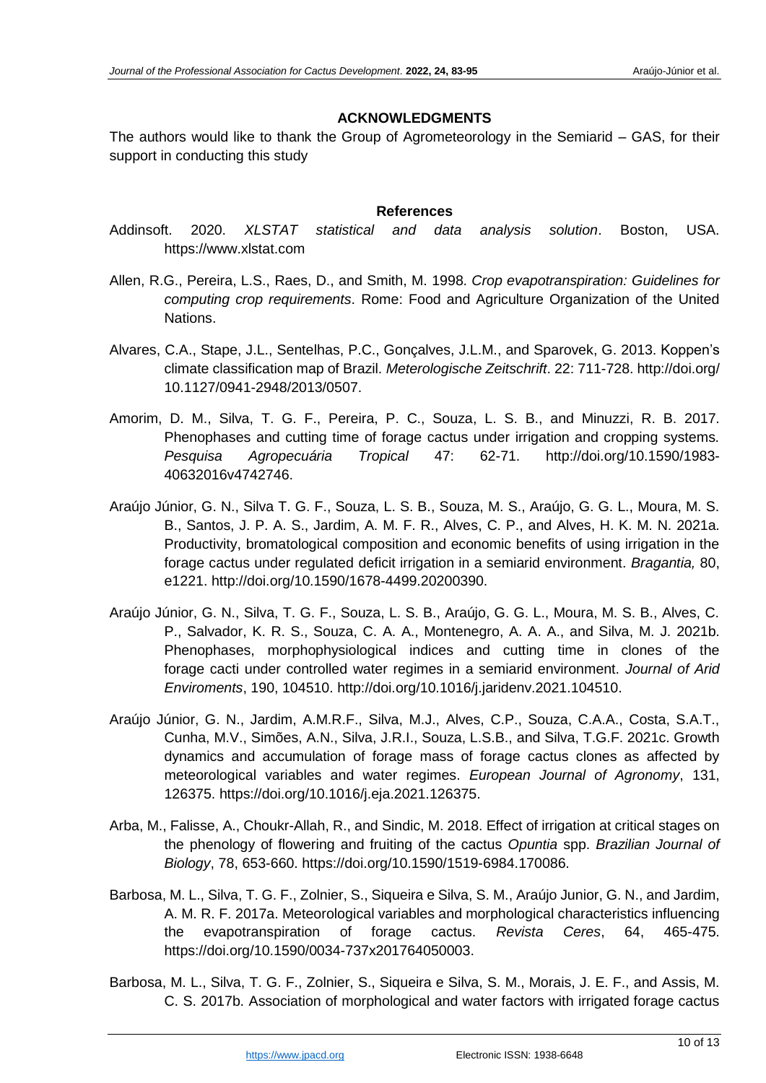## **ACKNOWLEDGMENTS**

The authors would like to thank the Group of Agrometeorology in the Semiarid – GAS, for their support in conducting this study

#### **References**

- Addinsoft. 2020. *XLSTAT statistical and data analysis solution*. Boston, USA. https://www.xlstat.com
- Allen, R.G., Pereira, L.S., Raes, D., and Smith, M. 1998. *Crop evapotranspiration: Guidelines for computing crop requirements*. Rome: Food and Agriculture Organization of the United Nations.
- Alvares, C.A., Stape, J.L., Sentelhas, P.C., Gonçalves, J.L.M., and Sparovek, G. 2013. Koppen's climate classification map of Brazil. *Meterologische Zeitschrift*. 22: 711-728. http:/[/doi.org/](https://doi.org/10.1127/0941-2948/2013/0507) [10.1127/0941-2948/2013/0507.](https://doi.org/10.1127/0941-2948/2013/0507)
- Amorim, D. M., Silva, T. G. F., Pereira, P. C., Souza, L. S. B., and Minuzzi, R. B. 2017. Phenophases and cutting time of forage cactus under irrigation and cropping systems. *Pesquisa Agropecuária Tropical* 47: 62-71. http://doi.org/10.1590/1983- 40632016v4742746.
- Araújo Júnior, G. N., Silva T. G. F., Souza, L. S. B., Souza, M. S., Araújo, G. G. L., Moura, M. S. B., Santos, J. P. A. S., Jardim, A. M. F. R., Alves, C. P., and Alves, H. K. M. N. 2021a. Productivity, bromatological composition and economic benefits of using irrigation in the forage cactus under regulated deficit irrigation in a semiarid environment. *Bragantia,* 80, e1221. http://doi.org/10.1590/1678-4499.20200390.
- Araújo Júnior, G. N., Silva, T. G. F., Souza, L. S. B., Araújo, G. G. L., Moura, M. S. B., Alves, C. P., Salvador, K. R. S., Souza, C. A. A., Montenegro, A. A. A., and Silva, M. J. 2021b. Phenophases, morphophysiological indices and cutting time in clones of the forage cacti under controlled water regimes in a semiarid environment. *Journal of Arid Enviroments*, 190, 104510. http://doi.org[/10.1016/j.jaridenv.2021.104510.](https://doi.org/10.1016/j.jaridenv.2021.104510)
- Araújo Júnior, G. N., Jardim, A.M.R.F., Silva, M.J., Alves, C.P., Souza, C.A.A., Costa, S.A.T., Cunha, M.V., Simões, A.N., Silva, J.R.I., Souza, L.S.B., and Silva, T.G.F. 2021c. Growth dynamics and accumulation of forage mass of forage cactus clones as affected by meteorological variables and water regimes. *European Journal of Agronomy*, 131, 126375. https://doi.org/10.1016/j.eja.2021.126375.
- Arba, M., Falisse, A., Choukr-Allah, R., and Sindic, M. 2018. Effect of irrigation at critical stages on the phenology of flowering and fruiting of the cactus *Opuntia* spp. *Brazilian Journal of Biology*, 78, 653-660. https:/[/doi.org/10.1590/1519-6984.170086.](https://doi.org/10.1590/1519-6984.170086)
- Barbosa, M. L., Silva, T. G. F., Zolnier, S., Siqueira e Silva, S. M., Araújo Junior, G. N., and Jardim, A. M. R. F. 2017a. Meteorological variables and morphological characteristics influencing the evapotranspiration of forage cactus. *Revista Ceres*, 64, 465-475. https://doi.org/10.1590/0034-737x201764050003.
- Barbosa, M. L., Silva, T. G. F., Zolnier, S., Siqueira e Silva, S. M., Morais, J. E. F., and Assis, M. C. S. 2017b. Association of morphological and water factors with irrigated forage cactus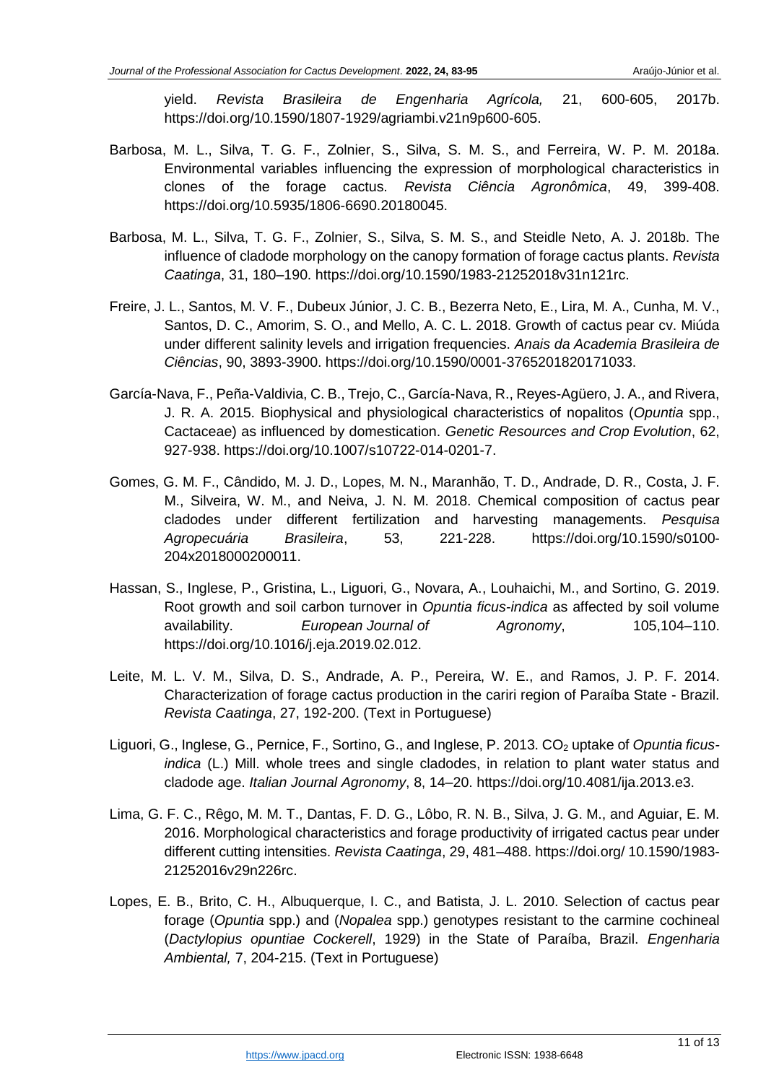yield. *Revista Brasileira de Engenharia Agrícola,* 21, 600-605, 2017b. https://doi.org/10.1590/1807-1929/agriambi.v21n9p600-605.

- Barbosa, M. L., Silva, T. G. F., Zolnier, S., Silva, S. M. S., and Ferreira, W. P. M. 2018a. Environmental variables influencing the expression of morphological characteristics in clones of the forage cactus. *Revista Ciência Agronômica*, 49, 399-408. https://doi.org[/10.5935/1806-6690.20180045.](file:///C:/UFRPE%20UAST/Pesquisa/Elaboração%20de%20Artigos/Periódicos/2019%20-%20Submissões/George%20-%20Artigo%203/10.5935/1806-6690.20180045)
- Barbosa, M. L., Silva, T. G. F., Zolnier, S., Silva, S. M. S., and Steidle Neto, A. J. 2018b. The influence of cladode morphology on the canopy formation of forage cactus plants. *Revista Caatinga*, 31, 180–190. https://doi.org[/10.1590/1983-21252018v31n121rc.](file:///C:/UFRPE%20UAST/Pesquisa/Elaboração%20de%20Artigos/Periódicos/2019%20-%20Submissões/George%20-%20Artigo%203/10.1590/1983-21252018v31n121rc)
- Freire, J. L., Santos, M. V. F., Dubeux Júnior, J. C. B., Bezerra Neto, E., Lira, M. A., Cunha, M. V., Santos, D. C., Amorim, S. O., and Mello, A. C. L. 2018. Growth of cactus pear cv. Miúda under different salinity levels and irrigation frequencies. *Anais da Academia Brasileira de Ciências*, 90, 3893-3900. [https://doi.org/10.1590/0001-3765201820171033.](https://doi.org/10.1590/0001-3765201820171033)
- García-Nava, F., Peña-Valdivia, C. B., Trejo, C., García-Nava, R., Reyes-Agüero, J. A., and Rivera, J. R. A. 2015. Biophysical and physiological characteristics of nopalitos (*Opuntia* spp., Cactaceae) as influenced by domestication. *Genetic Resources and Crop Evolution*, 62, 927-938. [https://doi.org/10.1007/s10722-014-0201-7.](https://doi.org/10.1007/s10722-014-0201-7)
- Gomes, G. M. F., Cândido, M. J. D., Lopes, M. N., Maranhão, T. D., Andrade, D. R., Costa, J. F. M., Silveira, W. M., and Neiva, J. N. M. 2018. Chemical composition of cactus pear cladodes under different fertilization and harvesting managements. *Pesquisa Agropecuária Brasileira*, 53, 221-228. https:/[/doi.org/10.1590/s0100-](http://dx.doi.org/10.1590/s0100-204x2018000200011) [204x2018000200011.](http://dx.doi.org/10.1590/s0100-204x2018000200011)
- Hassan, S., Inglese, P., Gristina, L., Liguori, G., Novara, A., Louhaichi, M., and Sortino, G. 2019. Root growth and soil carbon turnover in *Opuntia ficus-indica* as affected by soil volume availability. *European Journal of Agronomy*, 105,104–110. https:/[/doi.org/10.1016/j.eja.2019.02.012.](https://doi.org/10.1016/j.eja.2019.02.012)
- Leite, M. L. V. M., Silva, D. S., Andrade, A. P., Pereira, W. E., and Ramos, J. P. F. 2014. Characterization of forage cactus production in the cariri region of Paraíba State - Brazil. *Revista Caatinga*, 27, 192-200. (Text in Portuguese)
- Liguori, G., Inglese, G., Pernice, F., Sortino, G., and Inglese, P. 2013. CO<sub>2</sub> uptake of *Opuntia ficusindica* (L.) Mill. whole trees and single cladodes, in relation to plant water status and cladode age. *Italian Journal Agronomy*, 8, 14–20. https:/[/doi.org/10.4081/ija.2013.e3.](https://doi.org/10.4081/ija.2013.e3)
- Lima, G. F. C., Rêgo, M. M. T., Dantas, F. D. G., Lôbo, R. N. B., Silva, J. G. M., and Aguiar, E. M. 2016. Morphological characteristics and forage productivity of irrigated cactus pear under different cutting intensities. *Revista Caatinga*, 29, 481–488. https://doi.org/ [10.1590/1983-](https://doi.org/10.1590/1983-21252016v29n226rc) [21252016v29n226rc.](https://doi.org/10.1590/1983-21252016v29n226rc)
- Lopes, E. B., Brito, C. H., Albuquerque, I. C., and Batista, J. L. 2010. Selection of cactus pear forage (*Opuntia* spp.) and (*Nopalea* spp.) genotypes resistant to the carmine cochineal (*Dactylopius opuntiae Cockerell*, 1929) in the State of Paraíba, Brazil. *Engenharia Ambiental,* 7, 204-215. (Text in Portuguese)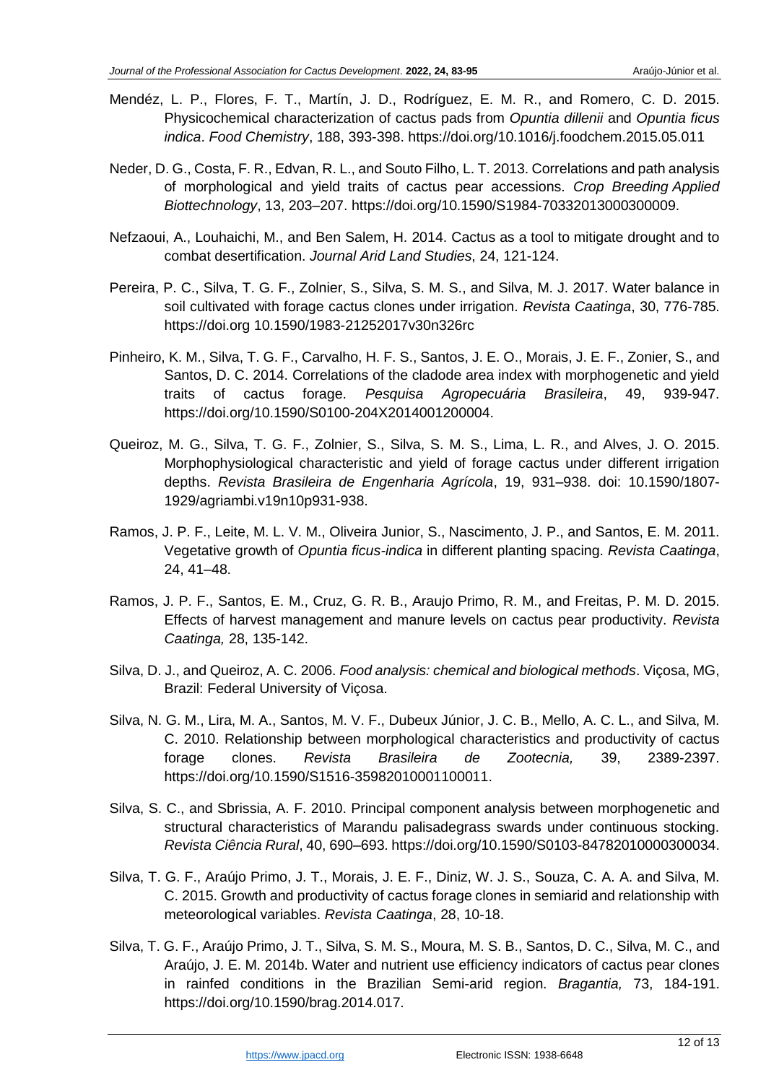- Mendéz, L. P., Flores, F. T., Martín, J. D., Rodríguez, E. M. R., and Romero, C. D. 2015. Physicochemical characterization of cactus pads from *Opuntia dillenii* and *Opuntia ficus indica*. *Food Chemistry*, 188, 393-398. https://doi.org[/10.1016/j.foodchem.2015.05.011](file:///C:/UFRPE%20UAST/Pesquisa/Elaboração%20de%20Artigos/Periódicos/2019%20-%20Submissões/George%20-%20Artigo%203/10.1016/j.foodchem.2015.05.011)
- Neder, D. G., Costa, F. R., Edvan, R. L., and Souto Filho, L. T. 2013. Correlations and path analysis of morphological and yield traits of cactus pear accessions. *Crop Breeding Applied Biottechnology*, 13, 203–207. https://doi.org[/10.1590/S1984-70332013000300009.](file:///C:/UFRPE%20UAST/Pesquisa/Elaboração%20de%20Artigos/Periódicos/2019%20-%20Submissões/George%20-%20Artigo%203/10.1590/S1984-70332013000300009)
- Nefzaoui, A., Louhaichi, M., and Ben Salem, H. 2014. Cactus as a tool to mitigate drought and to combat desertification. *Journal Arid Land Studies*, 24, 121-124.
- Pereira, P. C., Silva, T. G. F., Zolnier, S., Silva, S. M. S., and Silva, M. J. 2017. Water balance in soil cultivated with forage cactus clones under irrigation. *Revista Caatinga*, 30, 776-785. https://doi.org [10.1590/1983-21252017v30n326rc](https://doi.org/10.1590/1983-21252017v30n326rc)
- Pinheiro, K. M., Silva, T. G. F., Carvalho, H. F. S., Santos, J. E. O., Morais, J. E. F., Zonier, S., and Santos, D. C. 2014. Correlations of the cladode area index with morphogenetic and yield traits of cactus forage. *Pesquisa Agropecuária Brasileira*, 49, 939-947. https:/[/doi.org/10.1590/S0100-204X2014001200004.](https://doi.org/10.1590/S0100-204X2014001200004)
- Queiroz, M. G., Silva, T. G. F., Zolnier, S., Silva, S. M. S., Lima, L. R., and Alves, J. O. 2015. Morphophysiological characteristic and yield of forage cactus under different irrigation depths. *Revista Brasileira de Engenharia Agrícola*, 19, 931–938. [doi: 10.1590/1807-](https://doi.org/10.1590/1807-1929/agriambi.v19n10p931-938) [1929/agriambi.v19n10p931-938.](https://doi.org/10.1590/1807-1929/agriambi.v19n10p931-938)
- Ramos, J. P. F., Leite, M. L. V. M., Oliveira Junior, S., Nascimento, J. P., and Santos, E. M. 2011. Vegetative growth of *Opuntia ficus-indica* in different planting spacing. *Revista Caatinga*, 24, 41–48.
- Ramos, J. P. F., Santos, E. M., Cruz, G. R. B., Araujo Primo, R. M., and Freitas, P. M. D. 2015. Effects of harvest management and manure levels on cactus pear productivity. *Revista Caatinga,* 28, 135-142.
- Silva, D. J., and Queiroz, A. C. 2006. *Food analysis: chemical and biological methods*. Viçosa, MG, Brazil: Federal University of Viçosa.
- Silva, N. G. M., Lira, M. A., Santos, M. V. F., Dubeux Júnior, J. C. B., Mello, A. C. L., and Silva, M. C. 2010. Relationship between morphological characteristics and productivity of cactus forage clones. *Revista Brasileira de Zootecnia,* 39, 2389-2397. https:/[/doi.org/10.1590/S1516-35982010001100011.](https://doi.org/10.1590/S1516-35982010001100011)
- Silva, S. C., and Sbrissia, A. F. 2010. Principal component analysis between morphogenetic and structural characteristics of Marandu palisadegrass swards under continuous stocking. *Revista Ciência Rural*, 40, 690–693. https:/[/doi.org/10.1590/S0103-84782010000300034.](https://doi.org/10.1590/S0103-84782010000300034)
- Silva, T. G. F., Araújo Primo, J. T., Morais, J. E. F., Diniz, W. J. S., Souza, C. A. A. and Silva, M. C. 2015. Growth and productivity of cactus forage clones in semiarid and relationship with meteorological variables. *Revista Caatinga*, 28, 10-18.
- Silva, T. G. F., Araújo Primo, J. T., Silva, S. M. S., Moura, M. S. B., Santos, D. C., Silva, M. C., and Araújo, J. E. M. 2014b. Water and nutrient use efficiency indicators of cactus pear clones in rainfed conditions in the Brazilian Semi-arid region. *Bragantia,* 73, 184-191. https://doi.org[/10.1590/brag.2014.017.](http://dx.doi.org/10.1590/brag.2014.017)